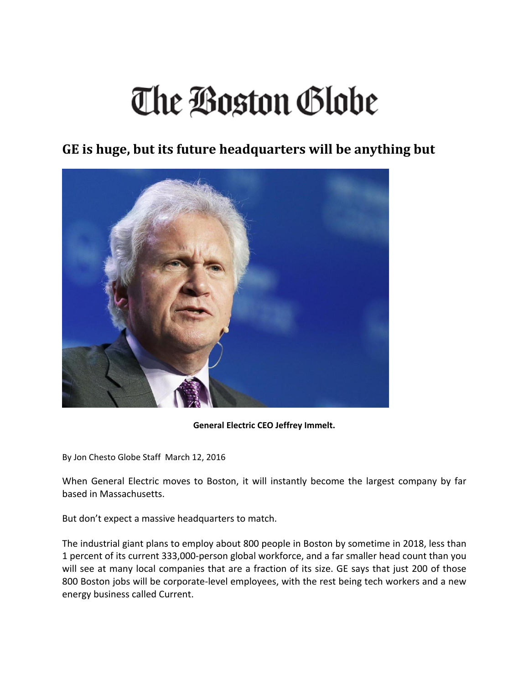## The Boston Globe

## **GE is huge, but its future headquarters will be anything but**



## **General Electric CEO Jeffrey Immelt.**

By Jon Chesto Globe Staff March 12, 2016

When General Electric moves to Boston, it will instantly become the largest company by far based in Massachusetts.

But don't expect a massive headquarters to match.

The industrial giant plans to employ about 800 people in Boston by sometime in 2018, less than 1 percent of its current 333,000‐person global workforce, and a far smaller head count than you will see at many local companies that are a fraction of its size. GE says that just 200 of those 800 Boston jobs will be corporate-level employees, with the rest being tech workers and a new energy business called Current.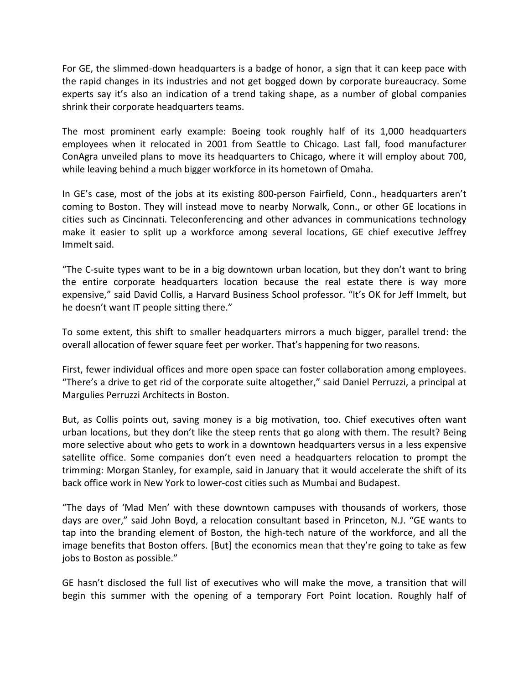For GE, the slimmed‐down headquarters is a badge of honor, a sign that it can keep pace with the rapid changes in its industries and not get bogged down by corporate bureaucracy. Some experts say it's also an indication of a trend taking shape, as a number of global companies shrink their corporate headquarters teams.

The most prominent early example: Boeing took roughly half of its 1,000 headquarters employees when it relocated in 2001 from Seattle to Chicago. Last fall, food manufacturer ConAgra unveiled plans to move its headquarters to Chicago, where it will employ about 700, while leaving behind a much bigger workforce in its hometown of Omaha.

In GE's case, most of the jobs at its existing 800‐person Fairfield, Conn., headquarters aren't coming to Boston. They will instead move to nearby Norwalk, Conn., or other GE locations in cities such as Cincinnati. Teleconferencing and other advances in communications technology make it easier to split up a workforce among several locations, GE chief executive Jeffrey Immelt said.

"The C‐suite types want to be in a big downtown urban location, but they don't want to bring the entire corporate headquarters location because the real estate there is way more expensive," said David Collis, a Harvard Business School professor. "It's OK for Jeff Immelt, but he doesn't want IT people sitting there."

To some extent, this shift to smaller headquarters mirrors a much bigger, parallel trend: the overall allocation of fewer square feet per worker. That's happening for two reasons.

First, fewer individual offices and more open space can foster collaboration among employees. "There's a drive to get rid of the corporate suite altogether," said Daniel Perruzzi, a principal at Margulies Perruzzi Architects in Boston.

But, as Collis points out, saving money is a big motivation, too. Chief executives often want urban locations, but they don't like the steep rents that go along with them. The result? Being more selective about who gets to work in a downtown headquarters versus in a less expensive satellite office. Some companies don't even need a headquarters relocation to prompt the trimming: Morgan Stanley, for example, said in January that it would accelerate the shift of its back office work in New York to lower‐cost cities such as Mumbai and Budapest.

"The days of 'Mad Men' with these downtown campuses with thousands of workers, those days are over," said John Boyd, a relocation consultant based in Princeton, N.J. "GE wants to tap into the branding element of Boston, the high‐tech nature of the workforce, and all the image benefits that Boston offers. [But] the economics mean that they're going to take as few jobs to Boston as possible."

GE hasn't disclosed the full list of executives who will make the move, a transition that will begin this summer with the opening of a temporary Fort Point location. Roughly half of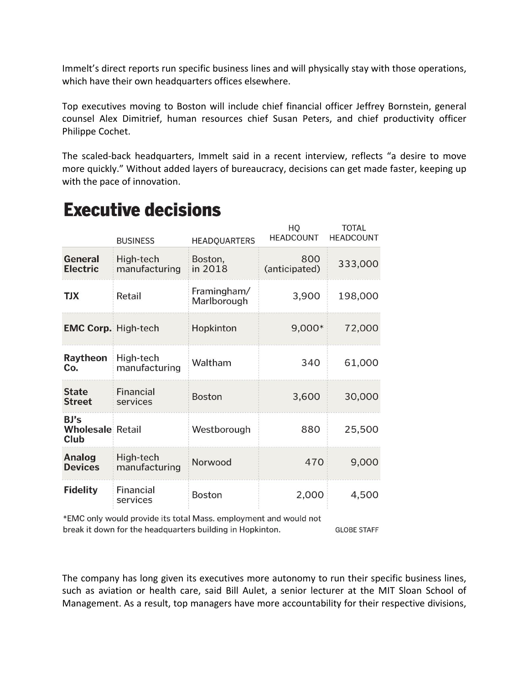Immelt's direct reports run specific business lines and will physically stay with those operations, which have their own headquarters offices elsewhere.

Top executives moving to Boston will include chief financial officer Jeffrey Bornstein, general counsel Alex Dimitrief, human resources chief Susan Peters, and chief productivity officer Philippe Cochet.

The scaled-back headquarters, Immelt said in a recent interview, reflects "a desire to move more quickly." Without added layers of bureaucracy, decisions can get made faster, keeping up with the pace of innovation.

|                                         | <b>BUSINESS</b>            | <b>HEADQUARTERS</b>        | HO<br><b>HEADCOUNT</b> | <b>TOTAL</b><br><b>HEADCOUNT</b> |
|-----------------------------------------|----------------------------|----------------------------|------------------------|----------------------------------|
| General<br>Electric                     | High-tech<br>manufacturing | Boston,<br>in 2018         | 800<br>(anticipated)   | 333,000                          |
| <b>TJX</b>                              | Retail                     | Framingham/<br>Marlborough | 3,900                  | 198,000                          |
| <b>EMC Corp. High-tech</b>              |                            | Hopkinton                  | 9,000*                 | 72,000                           |
| Raytheon<br>Co.                         | High-tech<br>manufacturing | Waltham                    | 340                    | 61,000                           |
| <b>State</b><br><b>Street</b>           | Financial<br>services      | <b>Boston</b>              | 3,600                  | 30,000                           |
| BJ's<br><b>Wholesale Retail</b><br>Club |                            | Westborough                | 880                    | 25,500                           |
| Analog<br><b>Devices</b>                | High-tech<br>manufacturing | Norwood                    | 470                    | 9,000                            |
| <b>Fidelity</b>                         | Financial<br>services      | <b>Boston</b>              | 2,000                  | 4,500                            |

## **Executive decisions**

\*EMC only would provide its total Mass. employment and would not

break it down for the headquarters building in Hopkinton.

**GLOBE STAFF** 

The company has long given its executives more autonomy to run their specific business lines, such as aviation or health care, said Bill Aulet, a senior lecturer at the MIT Sloan School of Management. As a result, top managers have more accountability for their respective divisions,